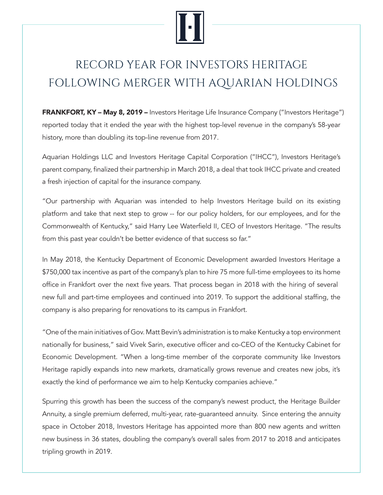## RECORD YEAR FOR INVESTORS HERITAGE FOLLOWING MERGER WITH AQUARIAN HOLDINGS

**FRANKFORT, KY – May 8, 2019 –** Investors Heritage Life Insurance Company ("Investors Heritage") reported today that it ended the year with the highest top-level revenue in the company's 58-year history, more than doubling its top-line revenue from 2017.

Aquarian Holdings LLC and Investors Heritage Capital Corporation ("IHCC"), Investors Heritage's parent company, finalized their partnership in March 2018, a deal that took IHCC private and created a fresh injection of capital for the insurance company.

"Our partnership with Aquarian was intended to help Investors Heritage build on its existing platform and take that next step to grow -- for our policy holders, for our employees, and for the Commonwealth of Kentucky," said Harry Lee Waterfield II, CEO of Investors Heritage. "The results from this past year couldn't be better evidence of that success so far."

In May 2018, the Kentucky Department of Economic Development awarded Investors Heritage a \$750,000 tax incentive as part of the company's plan to hire 75 more full-time employees to its home office in Frankfort over the next five years. That process began in 2018 with the hiring of several new full and part-time employees and continued into 2019. To support the additional staffing, the company is also preparing for renovations to its campus in Frankfort.

"One of the main initiatives of Gov. Matt Bevin's administration is to make Kentucky a top environment nationally for business," said Vivek Sarin, executive officer and co-CEO of the Kentucky Cabinet for Economic Development. "When a long-time member of the corporate community like Investors Heritage rapidly expands into new markets, dramatically grows revenue and creates new jobs, it's exactly the kind of performance we aim to help Kentucky companies achieve."

Spurring this growth has been the success of the company's newest product, the Heritage Builder Annuity, a single premium deferred, multi-year, rate-guaranteed annuity. Since entering the annuity space in October 2018, Investors Heritage has appointed more than 800 new agents and written new business in 36 states, doubling the company's overall sales from 2017 to 2018 and anticipates tripling growth in 2019.